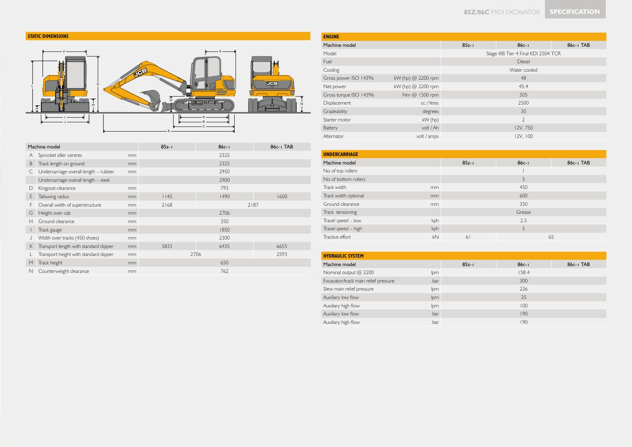



|   | Machine model                         | $85z - 1$ | $86c - 1$ | 86c-1 TAB |      |  |  |  |
|---|---------------------------------------|-----------|-----------|-----------|------|--|--|--|
| A | Sprocket idler centres                | mm        |           | 2325      |      |  |  |  |
| B | Track length on ground                | mm        |           | 2325      |      |  |  |  |
| C | Undercarriage overall length - rubber | mm        |           | 2950      |      |  |  |  |
|   | Undercarriage overall length - steel  |           |           | 2900      |      |  |  |  |
| D | Kingpost clearance                    | mm        |           | 793       |      |  |  |  |
| Е | Tailswing radius                      | mm        | 1145      | 1490      | 1600 |  |  |  |
| F | Overall width of superstructure       | mm        | 2168      |           | 2187 |  |  |  |
| G | Height over cab                       | mm        |           | 2706      |      |  |  |  |
| Н | Ground clearance                      | mm        |           | 350       |      |  |  |  |
|   | Track gauge                           | mm        |           | 1850      |      |  |  |  |
|   | Width over tracks (450 shoes)         | mm        |           | 2300      |      |  |  |  |
| K | Transport length with standard dipper | mm        | 5833      | 6435      | 6655 |  |  |  |
|   | Transport height with standard dipper | mm        |           | 2706      | 2593 |  |  |  |
| M | Track height                          | mm        |           | 650       |      |  |  |  |
| N | Counterweight clearance               | mm        |           | 762       |      |  |  |  |

| <b>ENGINE</b>          |                      |           |                                      |  |  |  |  |
|------------------------|----------------------|-----------|--------------------------------------|--|--|--|--|
| Machine model          |                      | $85z - 1$ | $86c - 1$<br>86c-1 TAB               |  |  |  |  |
| Model                  |                      |           | Stage IIIB Tier 4 Final KDI 2504 TCR |  |  |  |  |
| Fuel                   |                      |           | <b>Diesel</b>                        |  |  |  |  |
| Cooling                |                      |           | Water cooled                         |  |  |  |  |
| Gross power ISO 14396  | kW (hp) $@$ 2200 rpm |           | 48                                   |  |  |  |  |
| Net power              | kW (hp) @ 2200 rpm   |           | 45.4                                 |  |  |  |  |
| Gross torque ISO 14396 | Nm @ 1500 rpm        |           | 305                                  |  |  |  |  |
| Displacement           | cc / litres          |           | 2500                                 |  |  |  |  |
| Gradeability           | degrees              |           | 30                                   |  |  |  |  |
| Starter motor          | kW (hp)              |           | $\overline{2}$                       |  |  |  |  |
| Battery                | volt / Ah            |           | 12V, 750                             |  |  |  |  |
| Alternator             | volt / amps          |           | 12V, 100                             |  |  |  |  |
|                        |                      |           |                                      |  |  |  |  |

| $85z - 1$                          | $86c - 1$ | 86c-1 TAB |
|------------------------------------|-----------|-----------|
|                                    |           |           |
|                                    | 5         |           |
|                                    | 450       |           |
|                                    | 600       |           |
|                                    | 350       |           |
|                                    | Grease    |           |
|                                    | 2.5       |           |
|                                    | 5         |           |
| 61                                 |           | 65        |
| mm<br>mm<br>mm<br>kph<br>kph<br>kN |           |           |

| <b>HYDRAULIC SYSTEM</b> |           |           |           |  |  |  |  |  |  |  |  |
|-------------------------|-----------|-----------|-----------|--|--|--|--|--|--|--|--|
|                         | $85z - 1$ | $86c - 1$ | 86c-1 TAB |  |  |  |  |  |  |  |  |
| lpm                     |           | 158.4     |           |  |  |  |  |  |  |  |  |
| bar                     |           | 300       |           |  |  |  |  |  |  |  |  |
| lpm                     |           | 226       |           |  |  |  |  |  |  |  |  |
| lpm                     |           | 25        |           |  |  |  |  |  |  |  |  |
| lpm                     |           | 100       |           |  |  |  |  |  |  |  |  |
| bar                     |           | 190       |           |  |  |  |  |  |  |  |  |
| bar                     |           | 190       |           |  |  |  |  |  |  |  |  |
|                         |           |           |           |  |  |  |  |  |  |  |  |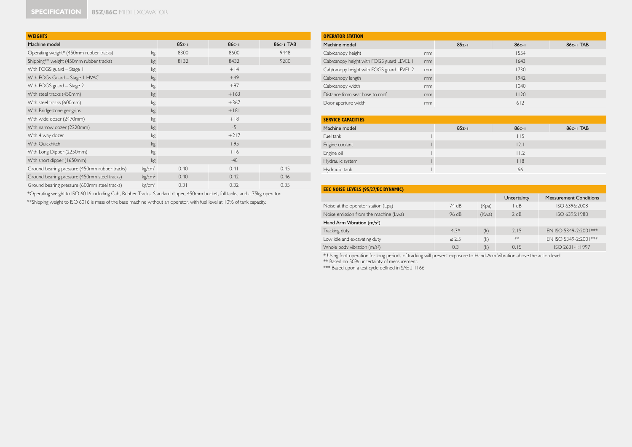| <b>WEIGHTS</b>                                |                    |           |           |           |  |  |  |  |
|-----------------------------------------------|--------------------|-----------|-----------|-----------|--|--|--|--|
| Machine model                                 |                    | $85z - 1$ | $86c - 1$ | 86c-1 TAB |  |  |  |  |
| Operating weight* (450mm rubber tracks)       | kg                 | 8300      | 8600      | 9448      |  |  |  |  |
| Shipping** weight (450mm rubber tracks)       | kg                 | 8132      | 8432      | 9280      |  |  |  |  |
| With FOGS guard - Stage 1                     | kg                 |           | $+14$     |           |  |  |  |  |
| With FOGs Guard - Stage I HVAC                | kg                 |           | $+49$     |           |  |  |  |  |
| With FOGS guard - Stage 2                     | kg                 |           | $+97$     |           |  |  |  |  |
| With steel tracks (450mm)                     | kg                 |           | $+163$    |           |  |  |  |  |
| With steel tracks (600mm)                     | kg                 |           | $+367$    |           |  |  |  |  |
| With Bridgestone geogrips                     | kg                 |           | $+181$    |           |  |  |  |  |
| With wide dozer (2470mm)                      | kg                 |           | $+18$     |           |  |  |  |  |
| With narrow dozer (2220mm)                    | kg                 | $-5$      |           |           |  |  |  |  |
| With 4 way dozer                              | kg                 | $+217$    |           |           |  |  |  |  |
| With Quickhitch                               | kg                 |           | $+95$     |           |  |  |  |  |
| With Long Dipper (2250mm)                     | kg                 |           | $+16$     |           |  |  |  |  |
| With short dipper (1650mm)                    | kg                 |           | $-48$     |           |  |  |  |  |
| Ground bearing pressure (450mm rubber tracks) | kg/cm <sup>2</sup> | 0.40      | 0.41      | 0.45      |  |  |  |  |
| Ground bearing pressure (450mm steel tracks)  | kg/cm <sup>2</sup> | 0.40      | 0.42      | 0.46      |  |  |  |  |
| Ground bearing pressure (600mm steel tracks)  | kg/cm <sup>2</sup> | 0.31      | 0.32      | 0.35      |  |  |  |  |

| *Operating weight to ISO 6016 including Cab, Rubber Tracks, Standard dipper, 450mm bucket, full tanks, and a 75kg operator. |  |
|-----------------------------------------------------------------------------------------------------------------------------|--|
| **Shipping weight to ISO 6016 is mass of the base machine without an operator, with fuel level at 10% of tank capacity.     |  |

| <b>OPERATOR STATION</b>                   |    |           |                 |           |  |  |  |  |  |
|-------------------------------------------|----|-----------|-----------------|-----------|--|--|--|--|--|
| Machine model                             |    | $85z - 1$ | $86c - 1$       | 86c-1 TAB |  |  |  |  |  |
| Cab/canopy height                         | mm |           | 1554            |           |  |  |  |  |  |
| Cab/canopy height with FOGS guard LEVEL I | mm |           | 1643            |           |  |  |  |  |  |
| Cab/canopy height with FOGS guard LEVEL 2 | mm |           | 1730            |           |  |  |  |  |  |
| Cab/canopy length                         | mm |           | 1942            |           |  |  |  |  |  |
| Cab/canopy width                          | mm |           | 1040            |           |  |  |  |  |  |
| Distance from seat base to roof           | mm |           | 1120            |           |  |  |  |  |  |
| Door aperture width                       | mm |           | 612             |           |  |  |  |  |  |
|                                           |    |           |                 |           |  |  |  |  |  |
| <b>SERVICE CAPACITIES</b>                 |    |           |                 |           |  |  |  |  |  |
| Machine model                             |    | $85z - 1$ | $86c - 1$       | 86c-1 TAB |  |  |  |  |  |
| Fuel tank                                 |    |           | 115             |           |  |  |  |  |  |
| Engine coolant                            |    |           | 2.1             |           |  |  |  |  |  |
| Engine oil                                |    |           | 11.2            |           |  |  |  |  |  |
| Hydraulic system                          |    |           | $ $ $ $ $ $ $ $ |           |  |  |  |  |  |
| Hydraulic tank                            |    |           | 66              |           |  |  |  |  |  |

| <b>EEC NOISE LEVELS (95/27/EC DYNAMIC)</b> |             |                               |      |                        |  |  |  |  |  |  |
|--------------------------------------------|-------------|-------------------------------|------|------------------------|--|--|--|--|--|--|
|                                            | Uncertainty | <b>Measurement Conditions</b> |      |                        |  |  |  |  |  |  |
| Noise at the operator station (Lpa)        | 74 dB       | (Kpa)                         | dB   | ISO 6396:2008          |  |  |  |  |  |  |
| Noise emission from the machine (Lwa)      | 2 dB        | ISO 6395:1988                 |      |                        |  |  |  |  |  |  |
| Hand Arm Vibration (m/s <sup>2</sup> )     |             |                               |      |                        |  |  |  |  |  |  |
| Tracking duty                              | $4.3*$      | (k)                           | 2.15 | EN ISO 5349-2:2001***  |  |  |  |  |  |  |
| Low idle and excavating duty               | $\leq 2.5$  | (k)                           | **   | EN ISO 5349-2:2001 *** |  |  |  |  |  |  |
| Whole body vibration (m/s <sup>2</sup> )   | 0.3         | (k)                           | 0.15 | $ISO$ 2631-1:1997      |  |  |  |  |  |  |

\* Using foot operation for long periods of tracking will prevent exposure to Hand-Arm Vibration above the action level.<br>\*\* Based on 50% uncertainty of measurement.<br>\*\*\* Based upon a test cycle defined in SAE J I 166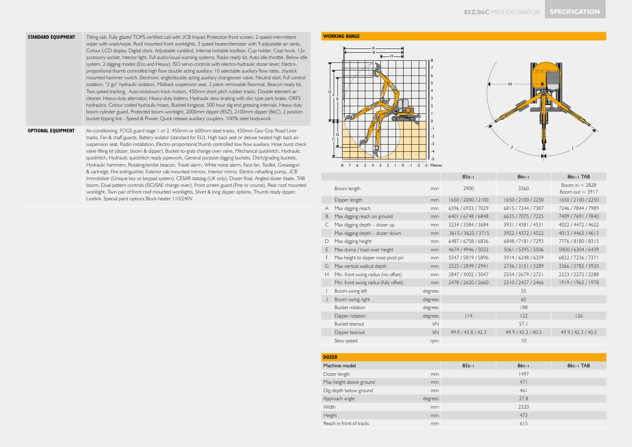- **STANDARD EQUIPMENT** Tilting cab, Fully glazed TOPS certified cab with JCB Impact Protection front screen, 2 speed intermittent wiper with wash/wipe, Roof mounted front worklights, 3 speed heater/demister with 9 adjustable air vents, Colour LCD display, Digital clock, Adjustable sunblind, Internal lockable toolbox, Cup holder, Coat hook, 12v accessory socket, Interior light, Full audio/visual warning systems, Radio ready kit, Auto idle throttle, Below idle system, 2 digging modes (Eco and Heavy), ISO servo controls with electro-hydraulic dozer lever, Electroproportional thumb controlled high flow double acting auxiliary, 10 selectable auxiliary flow rates, Joystick mounted hammer switch, Electronic single/double acting auxiliary changeover valve, Neutral start, Full control isolation, "2 go" hydraulic isolation, Midback suspension seat, 2 piece removable floormat, Beacon ready kit, Two speed tracking, Auto-kickdown track motors, 450mm short pitch rubber tracks, Double element air cleaner, Heavy-duty alternator, Heavy-duty battery, Hydraulic slew braking with disc type park brake, ORFS hydraulics, Colour coded hydraulic hoses, Bushed kingpost, 500 hour dig end greasing intervals, Heavy duty boom cylinder guard, Protected boom worklight, 2000mm dipper (85Z), 2100mm dipper (86C), 2 position bucket tipping link - Speed & Power, Quick release auxiliary couplers, 100% steel bodywork.
- **OPTIONAL EQUIPMENT** Air-conditioning, FOGS guard stage 1 or 2, 450mm or 600mm steel tracks, 450mm Geo Grip Road Liner tracks, Fan & chaff guards, Battery isolator (standard for EU), High back seat or deluxe heated high back airsuspension seat, Radio installation, Electro-proportional thumb controlled low flow auxiliary, Hose burst check valve lifting kit (dozer, boom & dipper), Bucket-to-grab change over valve, Mechanical quickhitch, Hydraulic quickhitch, Hydraulic quickhitch ready pipework, General purpose digging buckets, Ditch/grading buckets, Hydraulic hammers, Rotating/strobe beacon, Travel alarm, White noise alarm, Face fan, Toolkit, Greasegun & cartridge, Fire extinguisher, Exterior cab mounted mirrors, Interior mirror, Electric refuelling pump, JCB Immobiliser (Unique key or keypad system), CESAR datatag (UK only), Dozer float, Angled dozer blade, TAB boom, Dual pattern controls (ISO/SAE change-over), Front screen guard (Fine or course), Rear roof mounted worklight, Twin pair of front roof mounted worklights, Short & long dipper options, Thumb ready dipper, Livelink, Special paint options,Block heater 110/240V.

## **WORKING RANGE**





|   |                                        |               | $85z - 1$          | $86c - 1$          | 86c-1 TAB                             |
|---|----------------------------------------|---------------|--------------------|--------------------|---------------------------------------|
|   | Boom length                            | <sub>mm</sub> | 2900               | 3360               | Boom in $= 2828$<br>Boom out $= 3917$ |
|   | Dipper length                          | mm            | 1650 / 2000 / 2100 | 1650 / 2100 / 2250 | 1650 / 2100 / 2250                    |
| A | Max digging reach                      | mm            | 6596 / 6933 / 7029 | 6815 / 7244 / 7387 | 7246 / 7844 / 7989                    |
| B | Max digging reach on ground            | mm            | 6401 / 6748 / 6848 | 6635 / 7075 / 7225 | 7409 / 7691 / 7840                    |
| C | Max digging depth - dozer up           | mm            | 3234 / 3584 / 3684 | 3931/4381/4531     | 4022 / 4472 / 4622                    |
|   | Max digging depth - dozer down         | mm            | 3615/3625/3715     | 3922 / 4372 / 4522 | 4013/4463/4613                        |
| D | Max digging height                     | mm            | 6487 / 6758 / 6836 | 6848 / 7181 / 7293 | 7776/8180/8315                        |
| E | Max dump / load-over height            | mm            | 4674 / 4946 / 5023 | 5061 / 5395 / 5506 | 5900 / 6304 / 6439                    |
| F | Max height to dipper nose pivot pin    | mm            | 5547 / 5819 / 5896 | 5914/6248/6359     | 6832 / 7236 / 7371                    |
| G | Max vertical wallcut depth             | mm            | 2525 / 2849 / 2941 | 2736/3151/3289     | 3366 / 3782 / 3920                    |
| H | Min. front swing radius (no offset)    | mm            | 2847 / 3002 / 3047 | 2554 / 2679 / 2721 | 2223 / 2272 / 2288                    |
|   | Min. front swing radius (fully offset) | mm            | 2478 / 2620 / 2660 | 2310/2427/2466     | 1919 / 1963 / 1978                    |
|   | Boom swing left                        | degrees       |                    | 55                 |                                       |
| J | Boom swing right                       | degrees       |                    | 60                 |                                       |
|   | <b>Bucket rotation</b>                 | degrees       |                    | 188                |                                       |
|   | Dipper rotation                        | degrees       | $ $  4             | 122                | 126                                   |
|   | Bucket tearout                         | kN            |                    | 57.1               |                                       |
|   | Dipper tearout                         | kN            | 49.9 / 43.8 / 42.3 | 49.9 / 42.3 / 40.3 | 49.9 / 42.3 / 40.3                    |
|   | Slew speed                             | rpm           |                    | $ 0\rangle$        |                                       |
|   |                                        |               |                    |                    |                                       |

| <b>DOZER</b>                                                 |         |           |           |           |
|--------------------------------------------------------------|---------|-----------|-----------|-----------|
| Machine model                                                |         | $85z - 1$ | $86c - 1$ | 86c-1 TAB |
| Dozer length                                                 | mm      |           | 1497      |           |
|                                                              | mm      |           | 471       |           |
| Dig depth below ground                                       | mm      |           | 461       |           |
|                                                              | degrees |           | 27.8      |           |
|                                                              | mm      |           | 2320      |           |
|                                                              | mm      |           | 473       |           |
| Reach in front of tracks                                     | mm      |           | 615       |           |
| Max height above ground<br>Approach angle<br>Width<br>Height |         |           |           |           |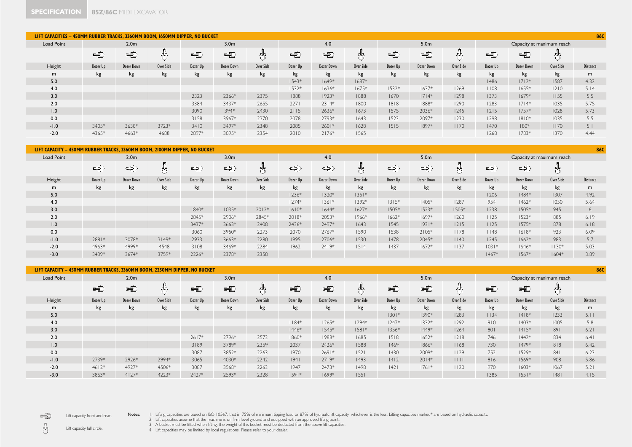| LIFT CAPACITIES - 450MM RUBBER TRACKS, 3360MM BOOM, 1650MM DIPPER, NO BUCKET<br>86C |          |                   |           |          |                  |           |          |                   |           |                  |            |           |                           |            |           |                 |
|-------------------------------------------------------------------------------------|----------|-------------------|-----------|----------|------------------|-----------|----------|-------------------|-----------|------------------|------------|-----------|---------------------------|------------|-----------|-----------------|
| <b>Load Point</b>                                                                   |          | 2.0 <sub>m</sub>  |           |          | 3.0 <sub>m</sub> |           |          | 4.0               |           | 5.0 <sub>m</sub> |            |           | Capacity at maximum reach |            |           |                 |
|                                                                                     | 电        | 中                 | 咒         | 电        | 电                |           | 电        | 电                 | 鼎         | 电                | 电          | 咒         | 电                         | 电          |           |                 |
| Height                                                                              | Dozer Up | <b>Dozer Down</b> | Over Side | Dozer Up | Dozer Down       | Over Side | Dozer Up | <b>Dozer Down</b> | Over Side | Dozer Up         | Dozer Down | Over Side | Dozer Up                  | Dozer Down | Over Side | <b>Distance</b> |
| m                                                                                   | kg       | kg                | kg        | kg       | kg               | kg        | kg       | kg                | kg        | kg               | kg         | kg        | kg                        | kg         | kg        | m               |
| 5.0                                                                                 |          |                   |           |          |                  |           | $1543*$  | $1649*$           | $1687*$   |                  |            |           | 1486                      | $1712*$    | 1587      | 4.32            |
| 4.0                                                                                 |          |                   |           |          |                  |           | $1532*$  | $1636*$           | $1675*$   | $1532*$          | $1637*$    | 1269      | 1108                      | $1655*$    | 1210      | 5.14            |
| 3.0                                                                                 |          |                   |           | 2323     | 2366*            | 2375      | 1888     | $1923*$           | 1888      | 1670             | $ 7 4*$    | 1298      | 1373                      | $1679*$    | 1155      | 5.5             |
| 2.0                                                                                 |          |                   |           | 3384     | 3437*            | 2655      | 2271     | $2314*$           | 1800      | 1818             | 1888*      | 1290      | 1283                      | $ 7 4*$    | 1035      | 5.75            |
| 1.0                                                                                 |          |                   |           | 3090     | 394*             | 2430      | 2115     | 2636*             | 1673      | 1575             | 2036*      | 1245      | 1215                      | $1757*$    | 1028      | 5.73            |
| 0.0                                                                                 |          |                   |           | 3158     | 3967*            | 2370      | 2078     | 2793*             | 1643      | 1523             | 2097*      | 1230      | 1298                      | $1810*$    | 1035      | 5.5             |
| $-1.0$                                                                              | 3405*    | 3638*             | 3723*     | 3410     | 3497*            | 2348      | 2085     | $2601*$           | 1628      | 1515             | 1897*      | 1170      | 1470                      | $180*$     | 1170      | 5.1             |
| $-2.0$                                                                              | 4365*    | 4663*             | 4688      | 2897*    | 3095*            | 2354      | 2010     | $2176*$           | 1565      |                  |            |           | 1268                      | 1783*      | 1370      | 4.44            |

|                   | 86C<br>LIFT CAPACITY - 450MM RUBBER TRACKS, 3360MM BOOM, 2100MM DIPPER, NO BUCKET |                   |           |          |                  |           |          |                   |           |          |                  |           |          |                           |           |                 |  |
|-------------------|-----------------------------------------------------------------------------------|-------------------|-----------|----------|------------------|-----------|----------|-------------------|-----------|----------|------------------|-----------|----------|---------------------------|-----------|-----------------|--|
| <b>Load Point</b> | 2.0 <sub>m</sub>                                                                  |                   |           |          | 3.0 <sub>m</sub> |           |          | 4.0               |           |          | 5.0 <sub>m</sub> |           |          | Capacity at maximum reach |           |                 |  |
|                   | 电                                                                                 | 中                 | 齿         | 中        | 电                | 뭐         | 电        | 电                 | 鼎         | 电        | 电                | 吿         | 电        | 咤                         |           |                 |  |
| Height            | Dozer Up                                                                          | <b>Dozer Down</b> | Over Side | Dozer Up | Dozer Down       | Over Side | Dozer Up | <b>Dozer Down</b> | Over Side | Dozer Up | Dozer Down       | Over Side | Dozer Up | <b>Dozer Down</b>         | Over Side | <b>Distance</b> |  |
| m                 | kg                                                                                | kg                | kg        | kg       | kg               | kg        | kg       | kg                | kg        | kg       | kg               | kg        | kg       | kg                        | kg        | m               |  |
| 5.0               |                                                                                   |                   |           |          |                  |           | $1236*$  | $1320*$           | $1351*$   |          |                  |           | 1206     | $1484*$                   | 1307      | 4.92            |  |
| 4.0               |                                                                                   |                   |           |          |                  |           | $1274*$  | $ 36 $ *          | $1392*$   | $1315*$  | $1405*$          | 1287      | 954      | $1462*$                   | 1050      | 5.64            |  |
| 3.0               |                                                                                   |                   |           | 1840*    | $1035*$          | $2012*$   | $1610*$  | $1644*$           | $1627*$   | $1505*$  | $1523*$          | 1505*     | 1238     | $1505*$                   | 945       | 6               |  |
| 2.0               |                                                                                   |                   |           | 2845*    | 2906*            | 2845*     | $2018*$  | 2053*             | $1966*$   | $1662*$  | $1697*$          | 1260      | 1125     | $1523*$                   | 885       | 6.19            |  |
| 1.0               |                                                                                   |                   |           | 3437*    | 3663*            | 2408      | 2436*    | 2497*             | 1643      | 1545     | $1931*$          | 1215      | 1125     | $1575*$                   | 878       | 6.18            |  |
| 0.0               |                                                                                   |                   |           | 3060     | 3950*            | 2273      | 2070     | $2767*$           | 1590      | 1538     | $2105*$          | 1178      | 1148     | $1618*$                   | 923       | 6.09            |  |
| $-1.0$            | 2881*                                                                             | 3078*             | $3149*$   | 2933     | $3663*$          | 2280      | 1995     | 2706*             | 1530      | 1478     | 2045*            | 1140      | 1245     | $1662*$                   | 983       | 5.7             |  |
| $-2.0$            | 4963*                                                                             | 4999*             | 4548      | 3108     | 3469*            | 2284      | 1962     | $2419*$           | 1514      | 1437     | $1672*$          | 1137      | $1031*$  | $1646*$                   | $1130*$   | 5.03            |  |
| $-3.0$            | 3439*                                                                             | 3674*             | 3759*     | 2226*    | 2378*            | 2358      |          |                   |           |          |                  |           | $1467*$  | $1567*$                   | $1604*$   | 3.89            |  |
|                   |                                                                                   |                   |           |          |                  |           |          |                   |           |          |                  |           |          |                           |           |                 |  |

| LIFT CAPACITY - 450MM RUBBER TRACKS, 3360MM BOOM, 2250MM DIPPER, NO BUCKET |          |                  |           |          |                  |           |          |                   |           |          |                  |           |          |            | 86C                       |                 |
|----------------------------------------------------------------------------|----------|------------------|-----------|----------|------------------|-----------|----------|-------------------|-----------|----------|------------------|-----------|----------|------------|---------------------------|-----------------|
| <b>Load Point</b>                                                          |          | 2.0 <sub>m</sub> |           |          | 3.0 <sub>m</sub> |           |          | 4.0               |           |          | 5.0 <sub>m</sub> |           |          |            | Capacity at maximum reach |                 |
|                                                                            | 电        | 电                | 뭐         | 中        | 电                | 畁         | 电        | 电                 | 굒         | 电        | 电                | 咒         | 电        | 中          |                           |                 |
| Height                                                                     | Dozer Up | Dozer Down       | Over Side | Dozer Up | Dozer Down       | Over Side | Dozer Up | <b>Dozer Down</b> | Over Side | Dozer Up | Dozer Down       | Over Side | Dozer Up | Dozer Down | Over Side                 | <b>Distance</b> |
| m                                                                          | kg       | kg               | kg        | kg       | kg               | kg        | kg       | kg                | kg        | kg       | kg               | kg        | kg       | kg         | kg                        | m               |
| 5.0                                                                        |          |                  |           |          |                  |           |          |                   |           | $1301*$  | 1390*            | 1283      | 1134     | $1418*$    | 1233                      | 5.11            |
| 4.0                                                                        |          |                  |           |          |                  |           | $1184*$  | $1265*$           | $1294*$   | $1247*$  | $1332*$          | 1292      | 910      | $1403*$    | 1005                      | 5.8             |
| 3.0                                                                        |          |                  |           |          |                  |           | $1446*$  | $1545*$           | $1581*$   | 1356*    | $1449*$          | 1264      | 801      | $1415*$    | 891                       | 6.21            |
| 2.0                                                                        |          |                  |           | $2617*$  | 2796*            | 2573      | $1860*$  | 1988*             | 1685      | 1518     | $1652*$          | $ 218$    | 746      | $1442*$    | 834                       | 6.41            |
| 1.0                                                                        |          |                  |           | 3189     | 3789*            | 2359      | 2037     | 2426*             | 1588      | 1469     | 1866*            | 1168      | 730      | $1479*$    | 818                       | 6.42            |
| 0.0                                                                        |          |                  |           | 3087     | 3852*            | 2263      | 1970     | 2691*             | 1521      | 1430     | 2009*            | 1129      | 752      | 1529*      | 841                       | 6.23            |
| $-1.0$                                                                     | 2739*    | 2926*            | 2994*     | 3065     | 4030*            | 2242      | 94       | $2719*$           | 1493      | 4 2      | $2014*$          | 1111      | 816      | $1569*$    | 908                       | 5.86            |
| $-2.0$                                                                     | $4612*$  | 4927*            | 4506*     | 3087     | 3568*            | 2263      | 1947     | 2473*             | 1498      | 42       | $ 76 $ *         | 1120      | 970      | $1603*$    | 1067                      | 5.21            |
| $-3.0$                                                                     | 3863*    | $4127*$          | 4223*     | 2427*    | 2593*            | 2328      | $1591*$  | 1699*             | 1551      |          |                  |           | 1385     | $1551*$    | 48                        | 4.15            |
|                                                                            |          |                  |           |          |                  |           |          |                   |           |          |                  |           |          |            |                           |                 |

 $\frac{1}{\left( \frac{1}{\sqrt{2}}\right) ^{2}}\left( \frac{1}{\sqrt{2}}\right) ^{2}$ Lift capacity front and rear. 1. Lifting capacities are based on ISO 10567, that is: 75% of minimum tipping load or 87% of hydraulic lift capacity, whichever is the less. Lifting capacities marked® are based on hydraulic capacity.<br>2. Lift capacities as

 $\frac{\eta}{\mathbf{G}}$ Lift capacity full circle.

4. Lift capacities may be limited by local regulations. Please refer to your dealer.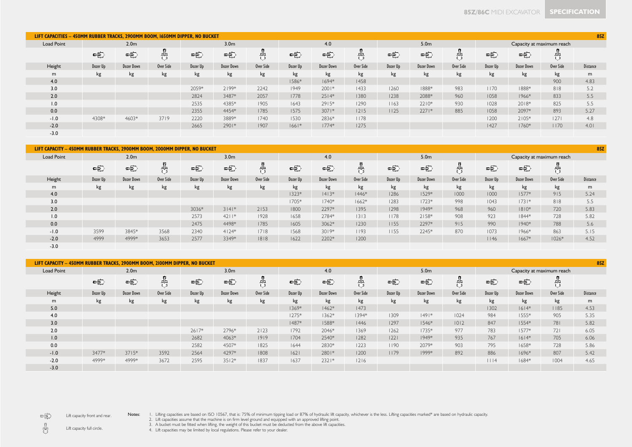| LIFT CAPACITIES - 450MM RUBBER TRACKS, 2900MM BOOM, 1650MM DIPPER, NO BUCKET |                                      |            |           |          |            |           |          |                   |           |          |                   |           |                           |                   | 857       |                 |  |  |  |
|------------------------------------------------------------------------------|--------------------------------------|------------|-----------|----------|------------|-----------|----------|-------------------|-----------|----------|-------------------|-----------|---------------------------|-------------------|-----------|-----------------|--|--|--|
| Load Point                                                                   | 3.0 <sub>m</sub><br>2.0 <sub>m</sub> |            |           |          |            |           |          | 4.0               |           |          | 5.0 <sub>m</sub>  |           | Capacity at maximum reach |                   |           |                 |  |  |  |
|                                                                              | 电                                    | 电          | 咒         | 电        | 电          |           | 哇        | 电                 | 鼎         | 电        | 电                 | 咒         | 电                         | 电                 |           |                 |  |  |  |
| Height                                                                       | Dozer Up                             | Dozer Down | Over Side | Dozer Up | Dozer Down | Over Side | Dozer Up | <b>Dozer Down</b> | Over Side | Dozer Up | <b>Dozer Down</b> | Over Side | Dozer Up                  | <b>Dozer Down</b> | Over Side | <b>Distance</b> |  |  |  |
| m                                                                            | kg                                   | kg         | kg        | kg       | kg         | kg        | kg       | kg                | kg        | kg       | kg                | kg        | kg                        | kg                | kg        | m               |  |  |  |
| 4.0                                                                          |                                      |            |           |          |            |           | 1586*    | $1694*$           | 1458      |          |                   |           |                           |                   | 900       | 4.83            |  |  |  |
| 3.0                                                                          |                                      |            |           | 2059*    | $2199*$    | 2242      | 1949     | $2001*$           | 1433      | 1260     | 1888*             | 983       | 1170                      | 1888*             | 818       | 5.2             |  |  |  |
| 2.0                                                                          |                                      |            |           | 2824     | 3487*      | 2057      | 1778     | $2514*$           | 1380      | 1238     | 2088*             | 960       | 1058                      | $1966*$           | 833       | 5.5             |  |  |  |
| 1.0                                                                          |                                      |            |           | 2535     | 4385*      | 1905      | 1643     | $2915*$           | 1290      | 1163     | $2210*$           | 930       | 1028                      | 2018*             | 825       | 5.5             |  |  |  |
| 0.0                                                                          |                                      |            |           | 2355     | 4454*      | 1785      | 1575     | $3071*$           | 1215      | 1125     | $2271*$           | 885       | 1058                      | 2097*             | 893       | 5.27            |  |  |  |
| $-1.0$                                                                       | 4308*                                | 4603*      | 3719      | 2220     | 3889*      | 1740      | 1530     | 2836*             | 1178      |          |                   |           | 1200                      | $2105*$           | 27        | 4.8             |  |  |  |
| $-2.0$                                                                       |                                      |            |           | 2665     | 2901*      | 1907      | $1661*$  | $1774*$           | 1275      |          |                   |           | 1427                      | 1760*             | 1170      | 4.01            |  |  |  |
| $-3.0$                                                                       |                                      |            |           |          |            |           |          |                   |           |          |                   |           |                           |                   |           |                 |  |  |  |

| LIFT CAPACITY - 450MM RUBBER TRACKS, 2900MM BOOM, 2000MM DIPPER, NO BUCKET |          |                  |           |          |                  |           |          |            |           |          |                  |           |                           |            | 857       |                 |  |  |
|----------------------------------------------------------------------------|----------|------------------|-----------|----------|------------------|-----------|----------|------------|-----------|----------|------------------|-----------|---------------------------|------------|-----------|-----------------|--|--|
| <b>Load Point</b>                                                          |          | 2.0 <sub>m</sub> |           |          | 3.0 <sub>m</sub> |           |          | 4.0        |           |          | 5.0 <sub>m</sub> |           | Capacity at maximum reach |            |           |                 |  |  |
|                                                                            | 电        | 电                | 뭐         | 电        | 电                |           | 咤        | 电          | - 무무      | 宅        | 电                | 咒         | 电                         | 电          |           |                 |  |  |
| Height                                                                     | Dozer Up | Dozer Down       | Over Side | Dozer Up | Dozer Down       | Over Side | Dozer Up | Dozer Down | Over Side | Dozer Up | Dozer Down       | Over Side | Dozer Up                  | Dozer Down | Over Side | <b>Distance</b> |  |  |
| m                                                                          | kg       | kg               | kg        | kg       | kg               | kg        | kg       | kg         | kg        | kg       | kg               | kg        | kg                        | kg         | kg        | m               |  |  |
| 4.0                                                                        |          |                  |           |          |                  |           | $1323*$  | $1413*$    | $1446*$   | 1286     | $1529*$          | 1000      | 1000                      | $1577*$    | 915       | 5.24            |  |  |
| 3.0                                                                        |          |                  |           |          |                  |           | 1705*    | $1740*$    | $1662*$   | 1283     | $1723*$          | 998       | 1043                      | $1731*$    | 818       | 5.5             |  |  |
| 2.0                                                                        |          |                  |           | 3036*    | $3 4 $ *         | 2153      | 1800     | 2297*      | 1395      | 1298     | $1949*$          | 968       | 960                       | $1810*$    | 720       | 5.83            |  |  |
| 1.0                                                                        |          |                  |           | 2573     | $42$   *         | 1928      | 1658     | 2784*      | 1313      | 1178     | $2158*$          | 908       | 923                       | $1844*$    | 728       | 5.82            |  |  |
| 0.0                                                                        |          |                  |           | 2475     | 4498*            | 1785      | 1605     | 3062*      | 1230      | 1155     | 2297*            | 915       | 990                       | $1940*$    | 788       | 5.6             |  |  |
| $-1.0$                                                                     | 3599     | 3845*            | 3568      | 2340     | $4124*$          | 1718      | 1568     | $3019*$    | 1193      | 1155     | 2245*            | 870       | 1073                      | 1966*      | 863       | 5.15            |  |  |
| $-2.0$                                                                     | 4999     | 4999*            | 3653      | 2577     | 3349*            | 1818      | 1622     | 2202*      | 1200      |          |                  |           | 1146                      | $1667*$    | $1026*$   | 4.52            |  |  |
| $-3.0$                                                                     |          |                  |           |          |                  |           |          |            |           |          |                  |           |                           |            |           |                 |  |  |

| LIFT CAPACITY - 450MM RUBBER TRACKS, 2900MM BOOM, 2100MM DIPPER, NO BUCKET |          |                   |           |          |                  |           |          |            |           |          |                  |           |          |                   | <b>85Z</b>                |                 |
|----------------------------------------------------------------------------|----------|-------------------|-----------|----------|------------------|-----------|----------|------------|-----------|----------|------------------|-----------|----------|-------------------|---------------------------|-----------------|
| <b>Load Point</b>                                                          |          | 2.0 <sub>m</sub>  |           |          | 3.0 <sub>m</sub> |           |          | 4.0        |           |          | 5.0 <sub>m</sub> |           |          |                   | Capacity at maximum reach |                 |
|                                                                            | 中        | 中                 | 뭐         | 中        | 中                |           | 中        | 电          | 뭐         | 电        | 中                | 뭐         | 电        | 电                 |                           |                 |
| Height                                                                     | Dozer Up | <b>Dozer Down</b> | Over Side | Dozer Up | Dozer Down       | Over Side | Dozer Up | Dozer Down | Over Side | Dozer Up | Dozer Down       | Over Side | Dozer Up | <b>Dozer Down</b> | Over Side                 | <b>Distance</b> |
| m                                                                          | kg       | kg                | kg        | kg       | kg               | kg        | kg       | kg         | kg        | kg       | kg               | kg        | kg       | kg                | kg                        | m               |
| 5.0                                                                        |          |                   |           |          |                  |           | 1369*    | $1462*$    | 1473      |          |                  |           | 1302     | $1614*$           | 1185                      | 4.53            |
| 4.0                                                                        |          |                   |           |          |                  |           | $1275*$  | $1362*$    | 1394*     | 1309     | $ 49 $ *         | 1024      | 984      | $1555*$           | 905                       | 5.35            |
| 3.0                                                                        |          |                   |           |          |                  |           | 1487*    | 1588*      | 1446      | 1297     | $1546*$          | 1012      | 847      | $1554*$           | 781                       | 5.82            |
| 2.0                                                                        |          |                   |           | $2617*$  | 2796*            | 2123      | 1792     | 2046*      | 1369      | 1262     | $1735*$          | 977       | 783      | $1577*$           | 721                       | 6.05            |
| 1.0                                                                        |          |                   |           | 2682     | 4063*            | 1919      | 1704     | 2540*      | 1282      | 22       | 1949*            | 935       | 767      | $1614*$           | 705                       | 6.06            |
| 0.0                                                                        |          |                   |           | 2582     | 4507*            | 1825      | 1644     | 2830*      | 1223      | 1190     | 2079*            | 903       | 795      | 1658*             | 728                       | 5.86            |
| $-1.0$                                                                     | 3477*    | $3715*$           | 3592      | 2564     | 4297*            | 1808      | 62       | 2801*      | 1200      | 1179     | 1999*            | 892       | 886      | $1696*$           | 807                       | 5.42            |
| $-2.0$                                                                     | 4999*    | 4999*             | 3672      | 2595     | $3512*$          | 1837      | 1637     | $2321*$    | 1216      |          |                  |           | 1114     | $1684*$           | 1004                      | 4.65            |
| $-3.0$                                                                     |          |                   |           |          |                  |           |          |            |           |          |                  |           |          |                   |                           |                 |

 $\Rightarrow$ Lift capacity front and rear. 1. Lifting capacities are based on ISO 10567, that is: 75% of minimum tipping load or 87% of hydraulic lift capacity, whichever is the less. Lifting capacities marked® are based on hydraulic capacity.<br>2. Lift capacities as

 $\frac{\eta}{\mathbf{U}}$ Lift capacity full circle.

4. Lift capacities may be limited by local regulations. Please refer to your dealer.